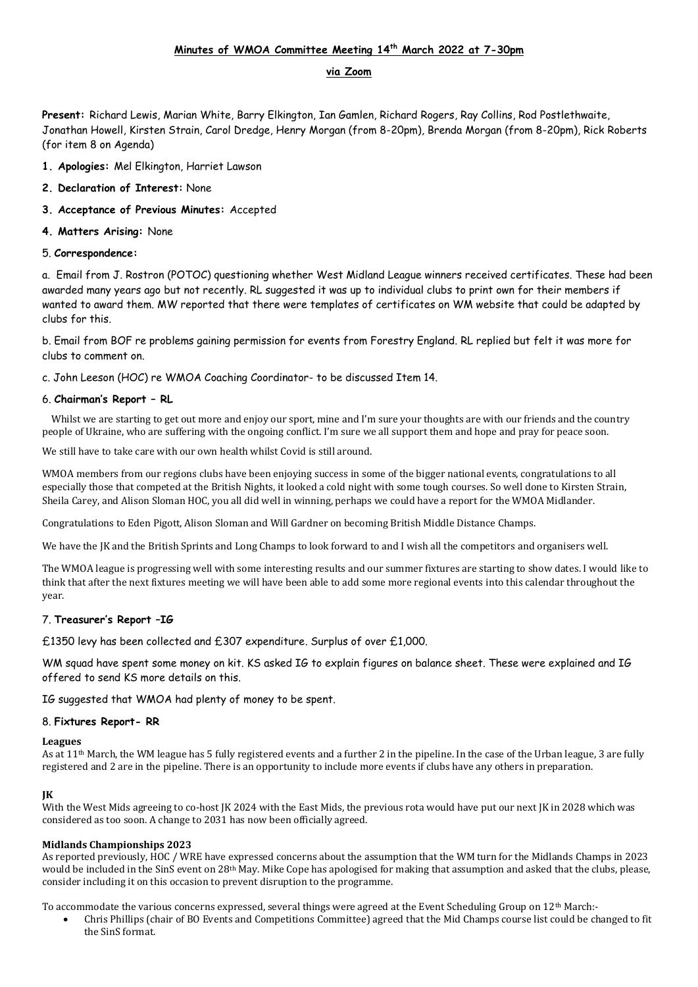# **Minutes of WMOA Committee Meeting 14th March 2022 at 7-30pm**

# **via Zoom**

**Present:** Richard Lewis, Marian White, Barry Elkington, Ian Gamlen, Richard Rogers, Ray Collins, Rod Postlethwaite, Jonathan Howell, Kirsten Strain, Carol Dredge, Henry Morgan (from 8-20pm), Brenda Morgan (from 8-20pm), Rick Roberts (for item 8 on Agenda)

- **1. Apologies:** Mel Elkington, Harriet Lawson
- **2. Declaration of Interest:** None
- **3. Acceptance of Previous Minutes:** Accepted
- **4. Matters Arising:** None

## 5. **Correspondence:**

a. Email from J. Rostron (POTOC) questioning whether West Midland League winners received certificates. These had been awarded many years ago but not recently. RL suggested it was up to individual clubs to print own for their members if wanted to award them. MW reported that there were templates of certificates on WM website that could be adapted by clubs for this.

b. Email from BOF re problems gaining permission for events from Forestry England. RL replied but felt it was more for clubs to comment on.

c. John Leeson (HOC) re WMOA Coaching Coordinator- to be discussed Item 14.

# 6. **Chairman's Report – RL**

 Whilst we are starting to get out more and enjoy our sport, mine and I'm sure your thoughts are with our friends and the country people of Ukraine, who are suffering with the ongoing conflict. I'm sure we all support them and hope and pray for peace soon.

We still have to take care with our own health whilst Covid is still around.

WMOA members from our regions clubs have been enjoying success in some of the bigger national events, congratulations to all especially those that competed at the British Nights, it looked a cold night with some tough courses. So well done to Kirsten Strain, Sheila Carey, and Alison Sloman HOC, you all did well in winning, perhaps we could have a report for the WMOA Midlander.

Congratulations to Eden Pigott, Alison Sloman and Will Gardner on becoming British Middle Distance Champs.

We have the JK and the British Sprints and Long Champs to look forward to and I wish all the competitors and organisers well.

The WMOA league is progressing well with some interesting results and our summer fixtures are starting to show dates. I would like to think that after the next fixtures meeting we will have been able to add some more regional events into this calendar throughout the year.

## 7. **Treasurer's Report –IG**

£1350 levy has been collected and £307 expenditure. Surplus of over £1,000.

WM squad have spent some money on kit. KS asked IG to explain figures on balance sheet. These were explained and IG offered to send KS more details on this.

IG suggested that WMOA had plenty of money to be spent.

## 8. **Fixtures Report- RR**

#### **Leagues**

As at 11th March, the WM league has 5 fully registered events and a further 2 in the pipeline. In the case of the Urban league, 3 are fully registered and 2 are in the pipeline. There is an opportunity to include more events if clubs have any others in preparation.

## **JK**

With the West Mids agreeing to co-host JK 2024 with the East Mids, the previous rota would have put our next JK in 2028 which was considered as too soon. A change to 2031 has now been officially agreed.

## **Midlands Championships 2023**

As reported previously, HOC / WRE have expressed concerns about the assumption that the WM turn for the Midlands Champs in 2023 would be included in the SinS event on 28<sup>th</sup> May. Mike Cope has apologised for making that assumption and asked that the clubs, please, consider including it on this occasion to prevent disruption to the programme.

To accommodate the various concerns expressed, several things were agreed at the Event Scheduling Group on  $12<sup>th</sup>$  March:-

 Chris Phillips (chair of BO Events and Competitions Committee) agreed that the Mid Champs course list could be changed to fit the SinS format.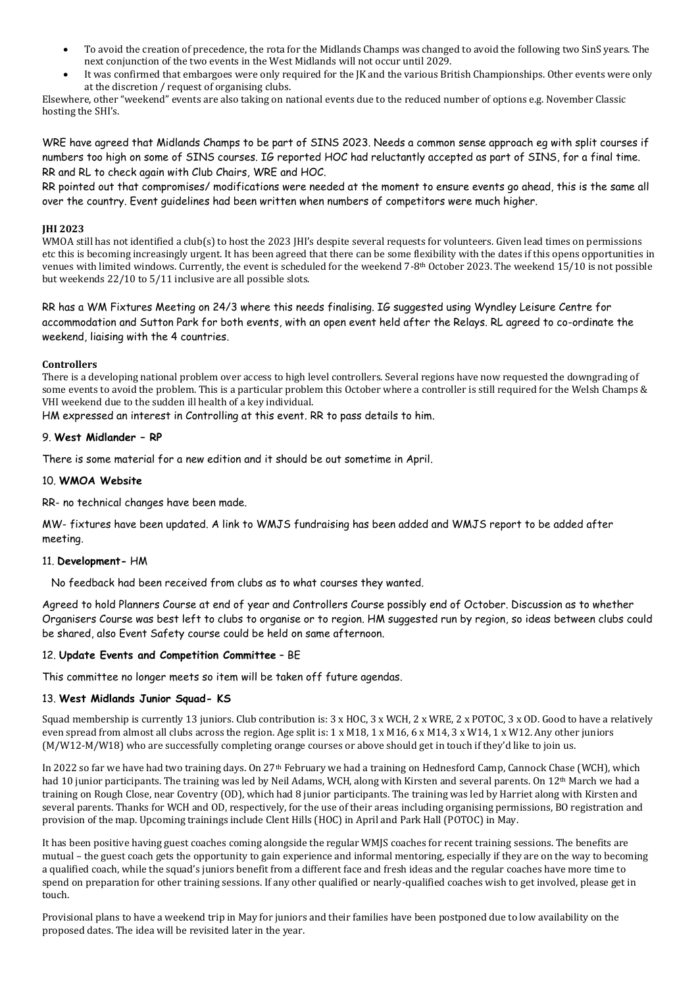- To avoid the creation of precedence, the rota for the Midlands Champs was changed to avoid the following two SinS years. The next conjunction of the two events in the West Midlands will not occur until 2029.
- It was confirmed that embargoes were only required for the JK and the various British Championships. Other events were only at the discretion / request of organising clubs.

Elsewhere, other "weekend" events are also taking on national events due to the reduced number of options e.g. November Classic hosting the SHI's.

WRE have agreed that Midlands Champs to be part of SINS 2023. Needs a common sense approach eg with split courses if numbers too high on some of SINS courses. IG reported HOC had reluctantly accepted as part of SINS, for a final time. RR and RL to check again with Club Chairs, WRE and HOC.

RR pointed out that compromises/ modifications were needed at the moment to ensure events go ahead, this is the same all over the country. Event guidelines had been written when numbers of competitors were much higher.

#### **JHI 2023**

WMOA still has not identified a club(s) to host the 2023 JHI's despite several requests for volunteers. Given lead times on permissions etc this is becoming increasingly urgent. It has been agreed that there can be some flexibility with the dates if this opens opportunities in venues with limited windows. Currently, the event is scheduled for the weekend 7-8th October 2023. The weekend 15/10 is not possible but weekends 22/10 to 5/11 inclusive are all possible slots.

RR has a WM Fixtures Meeting on 24/3 where this needs finalising. IG suggested using Wyndley Leisure Centre for accommodation and Sutton Park for both events, with an open event held after the Relays. RL agreed to co-ordinate the weekend, liaising with the 4 countries.

### **Controllers**

There is a developing national problem over access to high level controllers. Several regions have now requested the downgrading of some events to avoid the problem. This is a particular problem this October where a controller is still required for the Welsh Champs & VHI weekend due to the sudden ill health of a key individual.

HM expressed an interest in Controlling at this event. RR to pass details to him.

## 9. **West Midlander – RP**

There is some material for a new edition and it should be out sometime in April.

### 10. **WMOA Website**

RR- no technical changes have been made.

MW- fixtures have been updated. A link to WMJS fundraising has been added and WMJS report to be added after meeting.

### 11. **Development-** HM

No feedback had been received from clubs as to what courses they wanted.

Agreed to hold Planners Course at end of year and Controllers Course possibly end of October. Discussion as to whether Organisers Course was best left to clubs to organise or to region. HM suggested run by region, so ideas between clubs could be shared, also Event Safety course could be held on same afternoon.

## 12. **Update Events and Competition Committee** – BE

This committee no longer meets so item will be taken off future agendas.

#### 13. **West Midlands Junior Squad- KS**

Squad membership is currently 13 juniors. Club contribution is: 3 x HOC, 3 x WCH, 2 x WRE, 2 x POTOC, 3 x OD. Good to have a relatively even spread from almost all clubs across the region. Age split is: 1 x M18, 1 x M16, 6 x M14, 3 x W14, 1 x W12. Any other juniors (M/W12-M/W18) who are successfully completing orange courses or above should get in touch if they'd like to join us.

In 2022 so far we have had two training days. On 27<sup>th</sup> February we had a training on Hednesford Camp, Cannock Chase (WCH), which had 10 junior participants. The training was led by Neil Adams, WCH, along with Kirsten and several parents. On 12<sup>th</sup> March we had a training on Rough Close, near Coventry (OD), which had 8 junior participants. The training was led by Harriet along with Kirsten and several parents. Thanks for WCH and OD, respectively, for the use of their areas including organising permissions, BO registration and provision of the map. Upcoming trainings include Clent Hills (HOC) in April and Park Hall (POTOC) in May.

It has been positive having guest coaches coming alongside the regular WMJS coaches for recent training sessions. The benefits are mutual – the guest coach gets the opportunity to gain experience and informal mentoring, especially if they are on the way to becoming a qualified coach, while the squad's juniors benefit from a different face and fresh ideas and the regular coaches have more time to spend on preparation for other training sessions. If any other qualified or nearly-qualified coaches wish to get involved, please get in touch.

Provisional plans to have a weekend trip in May for juniors and their families have been postponed due to low availability on the proposed dates. The idea will be revisited later in the year.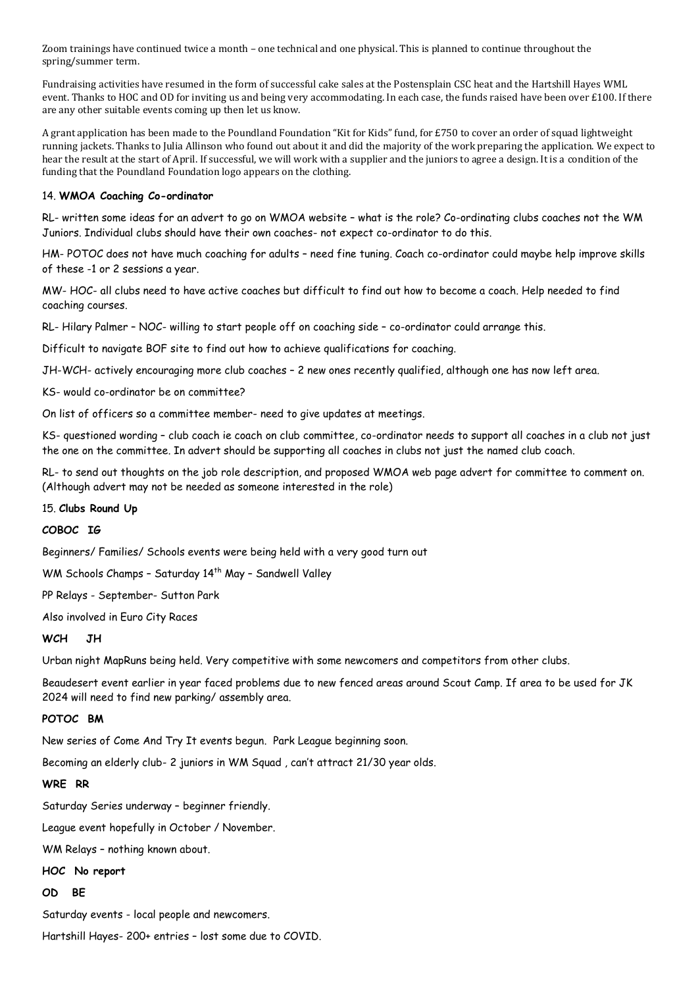Zoom trainings have continued twice a month – one technical and one physical. This is planned to continue throughout the spring/summer term.

Fundraising activities have resumed in the form of successful cake sales at the Postensplain CSC heat and the Hartshill Hayes WML event. Thanks to HOC and OD for inviting us and being very accommodating. In each case, the funds raised have been over £100. If there are any other suitable events coming up then let us know.

A grant application has been made to the Poundland Foundation "Kit for Kids" fund, for £750 to cover an order of squad lightweight running jackets. Thanks to Julia Allinson who found out about it and did the majority of the work preparing the application. We expect to hear the result at the start of April. If successful, we will work with a supplier and the juniors to agree a design. It is a condition of the funding that the Poundland Foundation logo appears on the clothing.

## 14. **WMOA Coaching Co-ordinator**

RL- written some ideas for an advert to go on WMOA website – what is the role? Co-ordinating clubs coaches not the WM Juniors. Individual clubs should have their own coaches- not expect co-ordinator to do this.

HM- POTOC does not have much coaching for adults – need fine tuning. Coach co-ordinator could maybe help improve skills of these -1 or 2 sessions a year.

MW- HOC- all clubs need to have active coaches but difficult to find out how to become a coach. Help needed to find coaching courses.

RL- Hilary Palmer – NOC- willing to start people off on coaching side – co-ordinator could arrange this.

Difficult to navigate BOF site to find out how to achieve qualifications for coaching.

JH-WCH- actively encouraging more club coaches – 2 new ones recently qualified, although one has now left area.

KS- would co-ordinator be on committee?

On list of officers so a committee member- need to give updates at meetings.

KS- questioned wording – club coach ie coach on club committee, co-ordinator needs to support all coaches in a club not just the one on the committee. In advert should be supporting all coaches in clubs not just the named club coach.

RL- to send out thoughts on the job role description, and proposed WMOA web page advert for committee to comment on. (Although advert may not be needed as someone interested in the role)

15. **Clubs Round Up**

### **COBOC IG**

Beginners/ Families/ Schools events were being held with a very good turn out

WM Schools Champs - Saturday 14<sup>th</sup> May - Sandwell Valley

PP Relays - September- Sutton Park

Also involved in Euro City Races

### **WCH JH**

Urban night MapRuns being held. Very competitive with some newcomers and competitors from other clubs.

Beaudesert event earlier in year faced problems due to new fenced areas around Scout Camp. If area to be used for JK 2024 will need to find new parking/ assembly area.

### **POTOC BM**

New series of Come And Try It events begun. Park League beginning soon.

Becoming an elderly club- 2 juniors in WM Squad , can't attract 21/30 year olds.

**WRE RR**

Saturday Series underway – beginner friendly.

League event hopefully in October / November.

WM Relays – nothing known about.

#### **HOC No report**

## **OD BE**

Saturday events - local people and newcomers.

Hartshill Hayes- 200+ entries – lost some due to COVID.